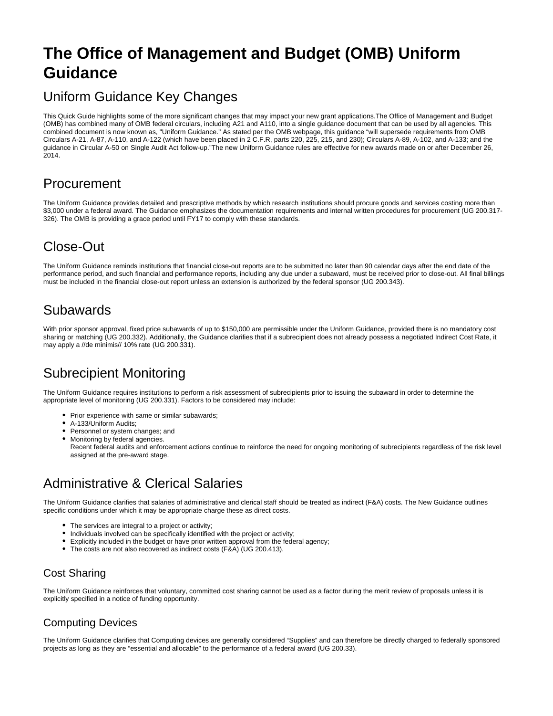# **The Office of Management and Budget (OMB) Uniform Guidance**

## Uniform Guidance Key Changes

This Quick Guide highlights some of the more significant changes that may impact your new grant applications.The Office of Management and Budget (OMB) has combined many of OMB federal circulars, including A21 and A110, into a single guidance document that can be used by all agencies. This combined document is now known as, "Uniform Guidance." As stated per the OMB webpage, this guidance "will supersede requirements from OMB Circulars A-21, A-87, A-110, and A-122 (which have been placed in 2 C.F.R, parts 220, 225, 215, and 230); Circulars A-89, A-102, and A-133; and the guidance in Circular A-50 on Single Audit Act follow-up."The new Uniform Guidance rules are effective for new awards made on or after December 26, 2014.

## Procurement

The Uniform Guidance provides detailed and prescriptive methods by which research institutions should procure goods and services costing more than \$3,000 under a federal award. The Guidance emphasizes the documentation requirements and internal written procedures for procurement (UG 200.317-326). The OMB is providing a grace period until FY17 to comply with these standards.

## Close-Out

The Uniform Guidance reminds institutions that financial close-out reports are to be submitted no later than 90 calendar days after the end date of the performance period, and such financial and performance reports, including any due under a subaward, must be received prior to close-out. All final billings must be included in the financial close-out report unless an extension is authorized by the federal sponsor (UG 200.343).

## **Subawards**

With prior sponsor approval, fixed price subawards of up to \$150,000 are permissible under the Uniform Guidance, provided there is no mandatory cost sharing or matching (UG 200.332). Additionally, the Guidance clarifies that if a subrecipient does not already possess a negotiated Indirect Cost Rate, it may apply a //de minimis// 10% rate (UG 200.331).

## Subrecipient Monitoring

The Uniform Guidance requires institutions to perform a risk assessment of subrecipients prior to issuing the subaward in order to determine the appropriate level of monitoring (UG 200.331). Factors to be considered may include:

- Prior experience with same or similar subawards:
- A-133/Uniform Audits;
- Personnel or system changes; and
- $\bullet$ Monitoring by federal agencies.
- Recent federal audits and enforcement actions continue to reinforce the need for ongoing monitoring of subrecipients regardless of the risk level assigned at the pre-award stage.

## Administrative & Clerical Salaries

The Uniform Guidance clarifies that salaries of administrative and clerical staff should be treated as indirect (F&A) costs. The New Guidance outlines specific conditions under which it may be appropriate charge these as direct costs.

- The services are integral to a project or activity:
- Individuals involved can be specifically identified with the project or activity;
- Explicitly included in the budget or have prior written approval from the federal agency;
- $\bullet$ The costs are not also recovered as indirect costs (F&A) (UG 200.413).

### Cost Sharing

The Uniform Guidance reinforces that voluntary, committed cost sharing cannot be used as a factor during the merit review of proposals unless it is explicitly specified in a notice of funding opportunity.

### Computing Devices

The Uniform Guidance clarifies that Computing devices are generally considered "Supplies" and can therefore be directly charged to federally sponsored projects as long as they are "essential and allocable" to the performance of a federal award (UG 200.33).